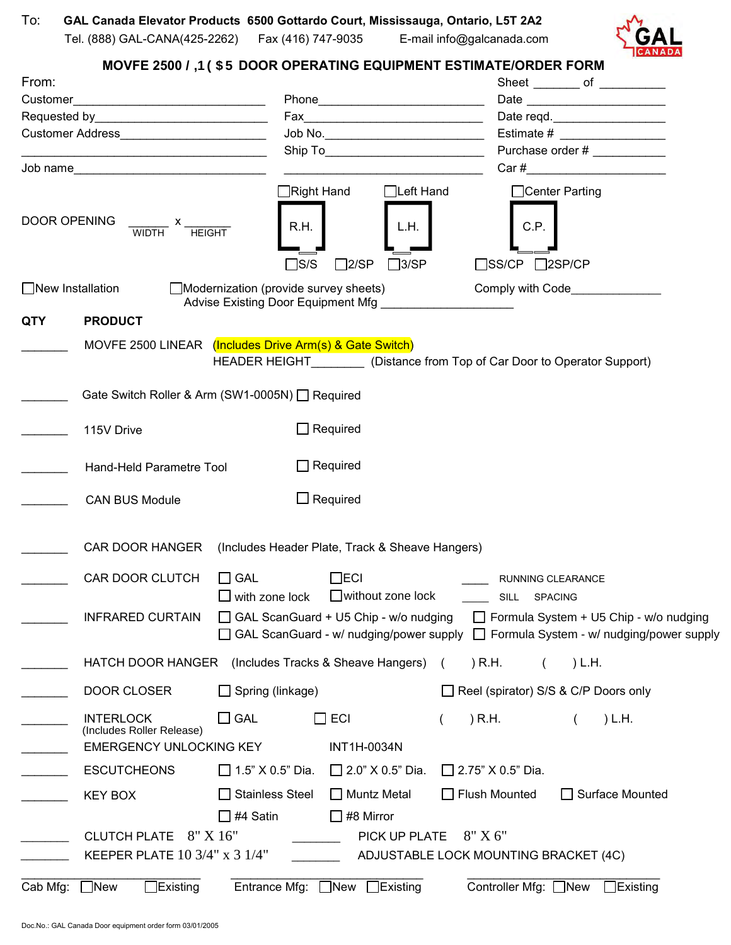

## **MOVFE 2500 @B95F DOOR OPERATING EQUIPMENT ESTIMATE/ORDER FORM**

| From:<br>Customer_                          |                                                                                                                                                                                                                                |                                                                   |                                                                                                            |                          | Sheet _________ of ___________    |        |                                                                                                                                     |  |
|---------------------------------------------|--------------------------------------------------------------------------------------------------------------------------------------------------------------------------------------------------------------------------------|-------------------------------------------------------------------|------------------------------------------------------------------------------------------------------------|--------------------------|-----------------------------------|--------|-------------------------------------------------------------------------------------------------------------------------------------|--|
|                                             |                                                                                                                                                                                                                                |                                                                   |                                                                                                            |                          |                                   |        |                                                                                                                                     |  |
|                                             | Requested by Property and Property and Property and Property and Property and Property and Property and Property and Property and Property and Property and Property and Property and Property and Property and Property and P |                                                                   |                                                                                                            |                          | Date reqd.                        |        |                                                                                                                                     |  |
|                                             |                                                                                                                                                                                                                                |                                                                   |                                                                                                            |                          | Estimate # ____________________   |        |                                                                                                                                     |  |
|                                             |                                                                                                                                                                                                                                |                                                                   |                                                                                                            |                          |                                   |        | Purchase order #                                                                                                                    |  |
|                                             | Job name                                                                                                                                                                                                                       |                                                                   |                                                                                                            |                          |                                   |        |                                                                                                                                     |  |
| DOOR OPENING                                | $\frac{x}{\text{WIDTH}}$ x $\frac{y}{\text{HEIGHT}}$                                                                                                                                                                           | Right Hand<br>R.H.                                                | $\Box$ Left Hand<br>L.H.                                                                                   |                          | □Center Parting<br>C.P.           |        |                                                                                                                                     |  |
|                                             |                                                                                                                                                                                                                                | ∃s/s                                                              | $\Box$ 2/SP<br>$\Box$ 3/SP                                                                                 |                          | $\square$ SS/CP $\square$ 2SP/CP  |        |                                                                                                                                     |  |
| $\Box$ New Installation                     |                                                                                                                                                                                                                                |                                                                   | $\Box$ Modernization (provide survey sheets)<br>Advise Existing Door Equipment Mfg _______________________ |                          |                                   |        |                                                                                                                                     |  |
| <b>QTY</b>                                  | <b>PRODUCT</b>                                                                                                                                                                                                                 |                                                                   |                                                                                                            |                          |                                   |        |                                                                                                                                     |  |
|                                             | MOVFE 2500 LINEAR (Includes Drive Arm(s) & Gate Switch)                                                                                                                                                                        | HEADER HEIGHT (Distance from Top of Car Door to Operator Support) |                                                                                                            |                          |                                   |        |                                                                                                                                     |  |
|                                             | Gate Switch Roller & Arm (SW1-0005N) □ Required                                                                                                                                                                                |                                                                   |                                                                                                            |                          |                                   |        |                                                                                                                                     |  |
|                                             | $\Box$ Required<br>115V Drive                                                                                                                                                                                                  |                                                                   |                                                                                                            |                          |                                   |        |                                                                                                                                     |  |
| $\Box$ Required<br>Hand-Held Parametre Tool |                                                                                                                                                                                                                                |                                                                   |                                                                                                            |                          |                                   |        |                                                                                                                                     |  |
|                                             | <b>CAN BUS Module</b>                                                                                                                                                                                                          |                                                                   | $\Box$ Required                                                                                            |                          |                                   |        |                                                                                                                                     |  |
|                                             | CAR DOOR HANGER (Includes Header Plate, Track & Sheave Hangers)                                                                                                                                                                |                                                                   |                                                                                                            |                          |                                   |        |                                                                                                                                     |  |
|                                             | <b>CAR DOOR CLUTCH</b>                                                                                                                                                                                                         | $\Box$ GAL<br>$\Box$ with zone lock                               | $\Box$ ECI<br>$\Box$ without zone lock                                                                     |                          | RUNNING CLEARANCE<br>SILL SPACING |        |                                                                                                                                     |  |
|                                             | <b>INFRARED CURTAIN</b>                                                                                                                                                                                                        |                                                                   | GAL ScanGuard + U5 Chip - w/o nudging                                                                      |                          |                                   |        | $\Box$ Formula System + U5 Chip - w/o nudging<br>GAL ScanGuard - w/ nudging/power supply □ Formula System - w/ nudging/power supply |  |
|                                             | HATCH DOOR HANGER                                                                                                                                                                                                              |                                                                   | (Includes Tracks & Sheave Hangers)                                                                         | ) R.H.<br>$\left($       |                                   | ) L.H. |                                                                                                                                     |  |
|                                             | DOOR CLOSER                                                                                                                                                                                                                    | $\Box$ Spring (linkage)                                           |                                                                                                            |                          |                                   |        | Reel (spirator) S/S & C/P Doors only                                                                                                |  |
|                                             | <b>INTERLOCK</b><br>(Includes Roller Release)<br><b>EMERGENCY UNLOCKING KEY</b>                                                                                                                                                | $\square$ GAL                                                     | $\Box$ ECI<br>INT1H-0034N                                                                                  | ) R.H.                   |                                   |        | L.H.                                                                                                                                |  |
|                                             | <b>ESCUTCHEONS</b>                                                                                                                                                                                                             | $\Box$ 1.5" X 0.5" Dia.                                           | $\Box$ 2.0" X 0.5" Dia.                                                                                    | $\Box$ 2.75" X 0.5" Dia. |                                   |        |                                                                                                                                     |  |
|                                             | <b>KEY BOX</b>                                                                                                                                                                                                                 | <b>Stainless Steel</b>                                            | $\Box$ Muntz Metal                                                                                         | Flush Mounted            |                                   |        | □ Surface Mounted                                                                                                                   |  |
|                                             |                                                                                                                                                                                                                                | #4 Satin                                                          | #8 Mirror                                                                                                  |                          |                                   |        |                                                                                                                                     |  |
|                                             |                                                                                                                                                                                                                                |                                                                   |                                                                                                            |                          |                                   |        |                                                                                                                                     |  |
|                                             | CLUTCH PLATE 8" X 16"<br>PICK UP PLATE<br>$8"$ X 6"<br>KEEPER PLATE 10 3/4" x 3 1/4"<br>ADJUSTABLE LOCK MOUNTING BRACKET (4C)                                                                                                  |                                                                   |                                                                                                            |                          |                                   |        |                                                                                                                                     |  |
|                                             |                                                                                                                                                                                                                                |                                                                   | $\Box$ Existing                                                                                            |                          | Controller Mfg: □New              |        |                                                                                                                                     |  |
| Cab Mfg:                                    | $\exists$ New<br>Existing[                                                                                                                                                                                                     | Entrance Mfg:                                                     | $\Box$ New                                                                                                 |                          |                                   |        | $\Box$ Existing                                                                                                                     |  |